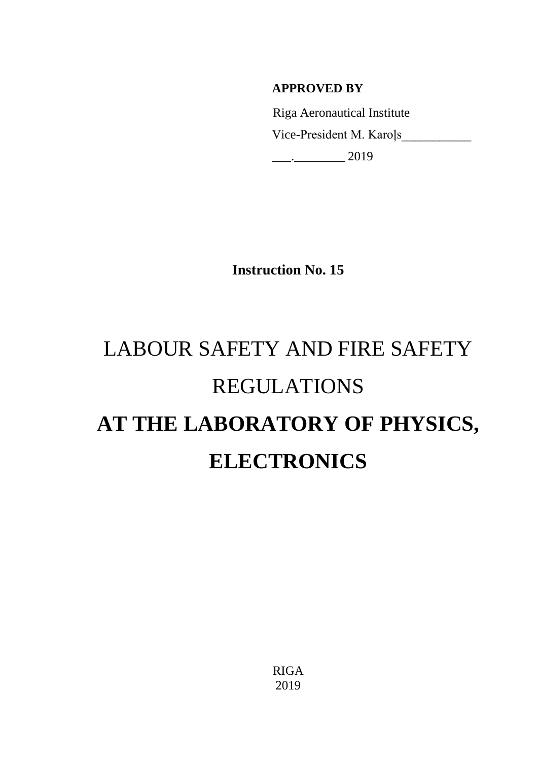# **APPROVED BY**

 Riga Aeronautical Institute Vice-President M. Karoļs\_\_\_\_\_\_\_\_\_\_\_  $\frac{2019}{2019}$ 

**Instruction No. 15**

# LABOUR SAFETY AND FIRE SAFETY REGULATIONS **AT THE LABORATORY OF PHYSICS, ELECTRONICS**

RIGA 2019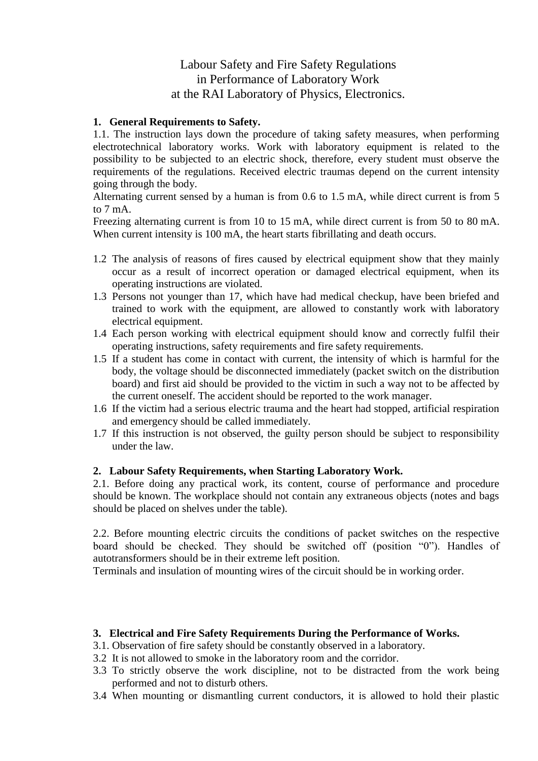## Labour Safety and Fire Safety Regulations in Performance of Laboratory Work at the RAI Laboratory of Physics, Electronics.

#### **1. General Requirements to Safety.**

1.1. The instruction lays down the procedure of taking safety measures, when performing electrotechnical laboratory works. Work with laboratory equipment is related to the possibility to be subjected to an electric shock, therefore, every student must observe the requirements of the regulations. Received electric traumas depend on the current intensity going through the body.

Alternating current sensed by a human is from 0.6 to 1.5 mA, while direct current is from 5 to 7 mA.

Freezing alternating current is from 10 to 15 mA, while direct current is from 50 to 80 mA. When current intensity is 100 mA, the heart starts fibrillating and death occurs.

- 1.2 The analysis of reasons of fires caused by electrical equipment show that they mainly occur as a result of incorrect operation or damaged electrical equipment, when its operating instructions are violated.
- 1.3 Persons not younger than 17, which have had medical checkup, have been briefed and trained to work with the equipment, are allowed to constantly work with laboratory electrical equipment.
- 1.4 Each person working with electrical equipment should know and correctly fulfil their operating instructions, safety requirements and fire safety requirements.
- 1.5 If a student has come in contact with current, the intensity of which is harmful for the body, the voltage should be disconnected immediately (packet switch on the distribution board) and first aid should be provided to the victim in such a way not to be affected by the current oneself. The accident should be reported to the work manager.
- 1.6 If the victim had a serious electric trauma and the heart had stopped, artificial respiration and emergency should be called immediately.
- 1.7 If this instruction is not observed, the guilty person should be subject to responsibility under the law.

#### **2. Labour Safety Requirements, when Starting Laboratory Work.**

2.1. Before doing any practical work, its content, course of performance and procedure should be known. The workplace should not contain any extraneous objects (notes and bags should be placed on shelves under the table).

2.2. Before mounting electric circuits the conditions of packet switches on the respective board should be checked. They should be switched off (position "0"). Handles of autotransformers should be in their extreme left position.

Terminals and insulation of mounting wires of the circuit should be in working order.

#### **3. Electrical and Fire Safety Requirements During the Performance of Works.**

- 3.1. Observation of fire safety should be constantly observed in a laboratory.
- 3.2 It is not allowed to smoke in the laboratory room and the corridor.
- 3.3 To strictly observe the work discipline, not to be distracted from the work being performed and not to disturb others.
- 3.4 When mounting or dismantling current conductors, it is allowed to hold their plastic